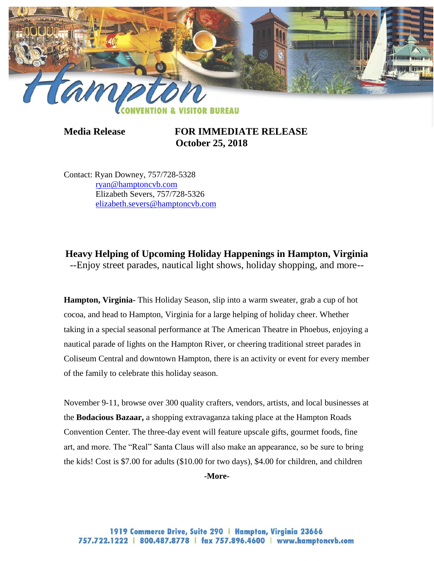

**Media Release FOR IMMEDIATE RELEASE October 25, 2018**

Contact: Ryan Downey, 757/728-5328 [ryan@hamptoncvb.com](mailto:ryan@hamptoncvb.com) Elizabeth Severs, 757/728-5326 [elizabeth.severs@hamptoncvb.com](mailto:elizabeth.severs@hamptoncvb.com)

**Heavy Helping of Upcoming Holiday Happenings in Hampton, Virginia** --Enjoy street parades, nautical light shows, holiday shopping, and more--

**Hampton, Virginia-** This Holiday Season, slip into a warm sweater, grab a cup of hot cocoa, and head to Hampton, Virginia for a large helping of holiday cheer. Whether taking in a special seasonal performance at The American Theatre in Phoebus, enjoying a nautical parade of lights on the Hampton River, or cheering traditional street parades in Coliseum Central and downtown Hampton, there is an activity or event for every member of the family to celebrate this holiday season.

November 9-11, browse over 300 quality crafters, vendors, artists, and local businesses at the **Bodacious Bazaar,** a shopping extravaganza taking place at the Hampton Roads Convention Center. The three-day event will feature upscale gifts, gourmet foods, fine art, and more. The "Real" Santa Claus will also make an appearance, so be sure to bring the kids! Cost is \$7.00 for adults (\$10.00 for two days), \$4.00 for children, and children

**-More-**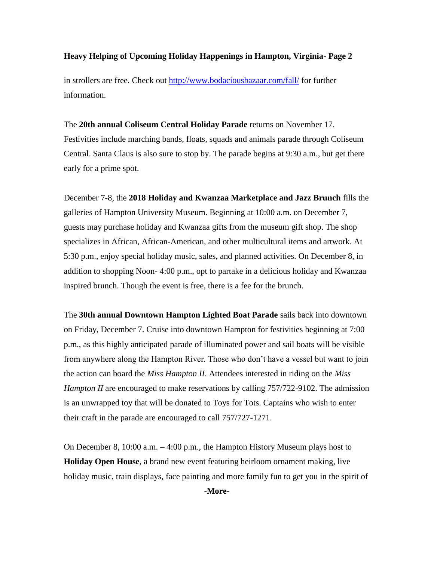in strollers are free. Check out<http://www.bodaciousbazaar.com/fall/> for further information.

The **20th annual Coliseum Central Holiday Parade** returns on November 17. Festivities include marching bands, floats, squads and animals parade through Coliseum Central. Santa Claus is also sure to stop by. The parade begins at 9:30 a.m., but get there early for a prime spot.

December 7-8, the **2018 Holiday and Kwanzaa Marketplace and Jazz Brunch** fills the galleries of Hampton University Museum. Beginning at 10:00 a.m. on December 7, guests may purchase holiday and Kwanzaa gifts from the museum gift shop. The shop specializes in African, African-American, and other multicultural items and artwork. At 5:30 p.m., enjoy special holiday music, sales, and planned activities. On December 8, in addition to shopping Noon- 4:00 p.m., opt to partake in a delicious holiday and Kwanzaa inspired brunch. Though the event is free, there is a fee for the brunch.

The **30th annual Downtown Hampton Lighted Boat Parade** sails back into downtown on Friday, December 7. Cruise into downtown Hampton for festivities beginning at 7:00 p.m., as this highly anticipated parade of illuminated power and sail boats will be visible from anywhere along the Hampton River. Those who don't have a vessel but want to join the action can board the *Miss Hampton II*. Attendees interested in riding on the *Miss Hampton II* are encouraged to make reservations by calling 757/722-9102. The admission is an unwrapped toy that will be donated to Toys for Tots. Captains who wish to enter their craft in the parade are encouraged to call 757/727-1271.

On December 8, 10:00 a.m. – 4:00 p.m., the Hampton History Museum plays host to **Holiday Open House**, a brand new event featuring heirloom ornament making, live holiday music, train displays, face painting and more family fun to get you in the spirit of **-More-**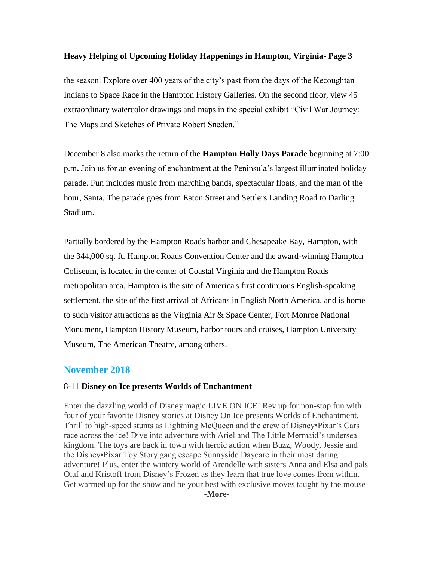the season. Explore over 400 years of the city's past from the days of the Kecoughtan Indians to Space Race in the Hampton History Galleries. On the second floor, view 45 extraordinary watercolor drawings and maps in the special exhibit "Civil War Journey: The Maps and Sketches of Private Robert Sneden."

December 8 also marks the return of the **Hampton Holly Days Parade** beginning at 7:00 p.m**.** Join us for an evening of enchantment at the Peninsula's largest illuminated holiday parade. Fun includes music from marching bands, spectacular floats, and the man of the hour, Santa. The parade goes from Eaton Street and Settlers Landing Road to Darling Stadium.

Partially bordered by the Hampton Roads harbor and Chesapeake Bay, Hampton, with the 344,000 sq. ft. Hampton Roads Convention Center and the award-winning Hampton Coliseum, is located in the center of Coastal Virginia and the Hampton Roads metropolitan area. Hampton is the site of America's first continuous English-speaking settlement, the site of the first arrival of Africans in English North America, and is home to such visitor attractions as the Virginia Air & Space Center, Fort Monroe National Monument, Hampton History Museum, harbor tours and cruises, Hampton University Museum, The American Theatre, among others.

### **November 2018**

#### 8-11 **Disney on Ice presents Worlds of Enchantment**

Enter the dazzling world of Disney magic LIVE ON ICE! Rev up for non-stop fun with four of your favorite Disney stories at Disney On Ice presents Worlds of Enchantment. Thrill to high-speed stunts as Lightning McQueen and the crew of Disney•Pixar's Cars race across the ice! Dive into adventure with Ariel and The Little Mermaid's undersea kingdom. The toys are back in town with heroic action when Buzz, Woody, Jessie and the Disney•Pixar Toy Story gang escape Sunnyside Daycare in their most daring adventure! Plus, enter the wintery world of Arendelle with sisters Anna and Elsa and pals Olaf and Kristoff from Disney's Frozen as they learn that true love comes from within. Get warmed up for the show and be your best with exclusive moves taught by the mouse **-More-**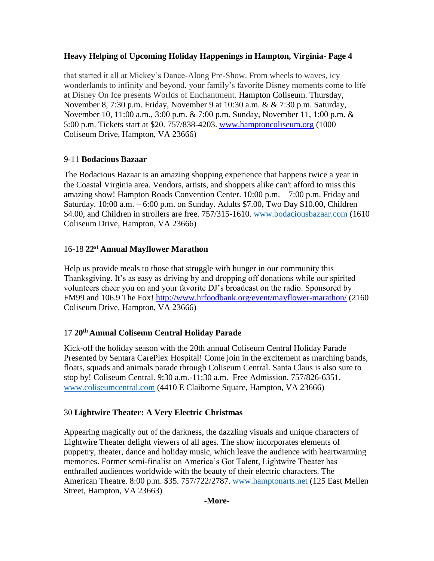that started it all at Mickey's Dance-Along Pre-Show. From wheels to waves, icy wonderlands to infinity and beyond, your family's favorite Disney moments come to life at Disney On Ice presents Worlds of Enchantment. Hampton Coliseum. Thursday, November 8, 7:30 p.m. Friday, November 9 at 10:30 a.m. & & 7:30 p.m. Saturday, November 10, 11:00 a.m., 3:00 p.m. & 7:00 p.m. Sunday, November 11, 1:00 p.m. & 5:00 p.m. Tickets start at \$20. 757/838-4203. [www.hamptoncoliseum.org](http://www.hamptoncoliseum.org/) (1000 Coliseum Drive, Hampton, VA 23666)

### 9-11 **Bodacious Bazaar**

The Bodacious Bazaar is an amazing shopping experience that happens twice a year in the Coastal Virginia area. Vendors, artists, and shoppers alike can't afford to miss this amazing show! Hampton Roads Convention Center. 10:00 p.m. – 7:00 p.m. Friday and Saturday. 10:00 a.m. – 6:00 p.m. on Sunday. Adults \$7.00, Two Day \$10.00, Children \$4.00, and Children in strollers are free. 757/315-1610. [www.bodaciousbazaar.com](http://www.bodaciousbazaar.com/) (1610) Coliseum Drive, Hampton, VA 23666)

### 16-18 **22st Annual Mayflower Marathon**

Help us provide meals to those that struggle with hunger in our community this Thanksgiving. It's as easy as driving by and dropping off donations while our spirited volunteers cheer you on and your favorite DJ's broadcast on the radio. Sponsored by [FM99](https://www.google.com/url?sa=t&rct=j&q=&esrc=s&source=web&cd=1&cad=rja&ved=0CC8QFjAA&url=http%3A%2F%2Ffm99.com%2F&ei=bv1CUqfYKIeo4APvooFo&usg=AFQjCNFcSNSON3GIRfp5AIsdA-D0lrkJ6Q&sig2=TtnbUR5DPQkcuHx8jaLSYA&bvm=bv.53077864,d.dmg) and [106.9 The Fox!](https://www.google.com/url?sa=t&rct=j&q=&esrc=s&source=web&cd=1&cad=rja&sqi=2&ved=0CC0QFjAA&url=http%3A%2F%2F1069thefox.com%2F&ei=kv1CUr_GBZLJ4APGpIGgAg&usg=AFQjCNGEG6diKQOr0n8DlGJN6CLXZ8FT6Q&sig2=80xGkvJVlbbzYGFtH--Kow&bvm=bv.53077864,d.dmg)<http://www.hrfoodbank.org/event/mayflower-marathon/> (2160 Coliseum Drive, Hampton, VA 23666)

# 17 **20th Annual Coliseum Central Holiday Parade**

Kick-off the holiday season with the 20th annual Coliseum Central Holiday Parade Presented by Sentara CarePlex Hospital! Come join in the excitement as marching bands, floats, squads and animals parade through Coliseum Central. Santa Claus is also sure to stop by! Coliseum Central. 9:30 a.m.-11:30 a.m. Free Admission. 757/826-6351. [www.coliseumcentral.com](http://www.coliseumcentral.com/) (4410 E Claiborne Square, Hampton, VA 23666)

# 30 **Lightwire Theater: A Very Electric Christmas**

Appearing magically out of the darkness, the dazzling visuals and unique characters of Lightwire Theater delight viewers of all ages. The show incorporates elements of puppetry, theater, dance and holiday music, which leave the audience with heartwarming memories. Former semi-finalist on America's Got Talent, Lightwire Theater has enthralled audiences worldwide with the beauty of their electric characters. The American Theatre. 8:00 p.m. \$35. 757/722/2787. [www.hamptonarts.net](http://www.hamptonarts.net/) (125 East Mellen Street, Hampton, VA 23663)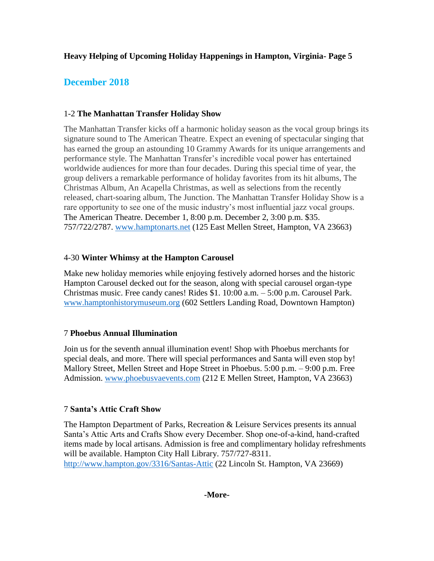# **December 2018**

# 1-2 **The Manhattan Transfer Holiday Show**

The Manhattan Transfer kicks off a harmonic holiday season as the vocal group brings its signature sound to The American Theatre. Expect an evening of spectacular singing that has earned the group an astounding 10 Grammy Awards for its unique arrangements and performance style. The Manhattan Transfer's incredible vocal power has entertained worldwide audiences for more than four decades. During this special time of year, the group delivers a remarkable performance of holiday favorites from its hit albums, The Christmas Album, An Acapella Christmas, as well as selections from the recently released, chart-soaring album, The Junction. The Manhattan Transfer Holiday Show is a rare opportunity to see one of the music industry's most influential jazz vocal groups. The American Theatre. December 1, 8:00 p.m. December 2, 3:00 p.m. \$35. 757/722/2787. [www.hamptonarts.net](http://www.hamptonarts.net/) (125 East Mellen Street, Hampton, VA 23663)

# 4-30 **Winter Whimsy at the Hampton Carousel**

Make new holiday memories while enjoying festively adorned horses and the historic Hampton Carousel decked out for the season, along with special carousel organ-type Christmas music. Free candy canes! Rides \$1. 10:00 a.m. – 5:00 p.m. Carousel Park. [www.hamptonhistorymuseum.org](http://www.hamptonhistorymuseum.org/) (602 Settlers Landing Road, Downtown Hampton)

# 7 **Phoebus Annual Illumination**

Join us for the seventh annual illumination event! Shop with Phoebus merchants for special deals, and more. There will special performances and Santa will even stop by! Mallory Street, Mellen Street and Hope Street in Phoebus. 5:00 p.m. – 9:00 p.m. Free Admission. [www.phoebusvaevents.com](http://www.phoebusvaevents.com/) (212 E Mellen Street, Hampton, VA 23663)

# 7 **Santa's Attic Craft Show**

The Hampton Department of Parks, Recreation & Leisure Services presents its annual Santa's Attic Arts and Crafts Show every December. Shop one-of-a-kind, hand-crafted items made by local artisans. Admission is free and complimentary holiday refreshments will be available. Hampton City Hall Library. 757/727-8311. <http://www.hampton.gov/3316/Santas-Attic> (22 Lincoln St. Hampton, VA 23669)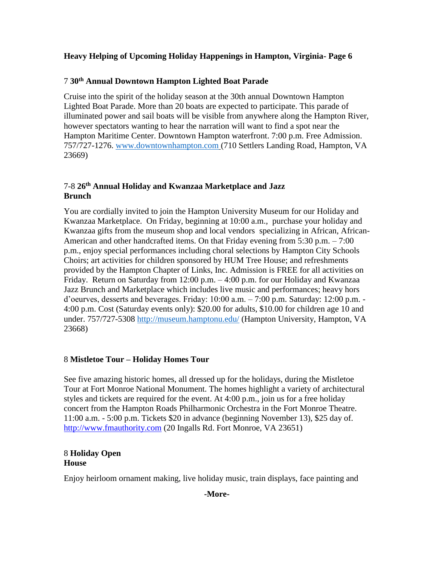### 7 **30th Annual Downtown Hampton Lighted Boat Parade**

Cruise into the spirit of the holiday season at the 30th annual Downtown Hampton Lighted Boat Parade. More than 20 boats are expected to participate. This parade of illuminated power and sail boats will be visible from anywhere along the Hampton River, however spectators wanting to hear the narration will want to find a spot near the Hampton Maritime Center. Downtown Hampton waterfront. 7:00 p.m. Free Admission. 757/727-1276. [www.downtownhampton.com](http://www.downtownhampton.com/) (710 Settlers Landing Road, Hampton, VA 23669)

### 7-8 **26th Annual Holiday and Kwanzaa Marketplace and Jazz Brunch**

You are cordially invited to join the Hampton University Museum for our Holiday and Kwanzaa Marketplace. On Friday, beginning at 10:00 a.m., purchase your holiday and Kwanzaa gifts from the museum shop and local vendors specializing in African, African-American and other handcrafted items. On that Friday evening from 5:30 p.m. – 7:00 p.m., enjoy special performances including choral selections by Hampton City Schools Choirs; art activities for children sponsored by HUM Tree House; and refreshments provided by the Hampton Chapter of Links, Inc. Admission is FREE for all activities on Friday. Return on Saturday from 12:00 p.m. – 4:00 p.m. for our Holiday and Kwanzaa Jazz Brunch and Marketplace which includes live music and performances; heavy hors d'oeurves, desserts and beverages. Friday: 10:00 a.m. – 7:00 p.m. Saturday: 12:00 p.m. - 4:00 p.m. Cost (Saturday events only): \$20.00 for adults, \$10.00 for children age 10 and under. 757/727-5308<http://museum.hamptonu.edu/> (Hampton University, Hampton, VA 23668)

### 8 **Mistletoe Tour – Holiday Homes Tour**

See five amazing historic homes, all dressed up for the holidays, during the Mistletoe Tour at Fort Monroe National Monument. The homes highlight a variety of architectural styles and tickets are required for the event. At 4:00 p.m., join us for a free holiday concert from the Hampton Roads Philharmonic Orchestra in the Fort Monroe Theatre. 11:00 a.m. - 5:00 p.m. Tickets \$20 in advance (beginning November 13), \$25 day of. [http://www.fmauthority.com](http://www.fmauthority.com/) (20 Ingalls Rd. Fort Monroe, VA 23651)

#### 8 **Holiday Open House**

Enjoy heirloom ornament making, live holiday music, train displays, face painting and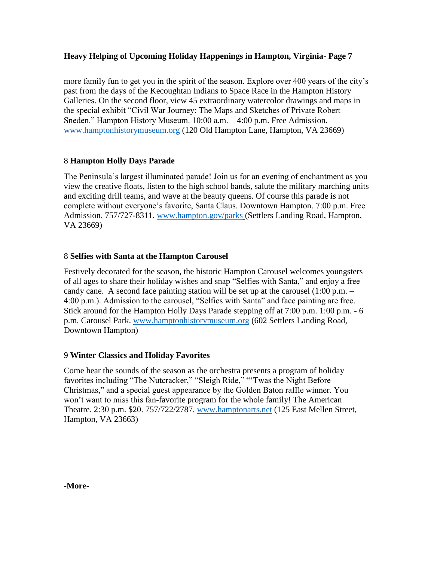more family fun to get you in the spirit of the season. Explore over 400 years of the city's past from the days of the Kecoughtan Indians to Space Race in the Hampton History Galleries. On the second floor, view 45 extraordinary watercolor drawings and maps in the special exhibit "Civil War Journey: The Maps and Sketches of Private Robert Sneden." Hampton History Museum. 10:00 a.m. – 4:00 p.m. Free Admission. [www.hamptonhistorymuseum.org](http://www.hamptonhistorymuseum.org/) (120 Old Hampton Lane, Hampton, VA 23669)

#### 8 **Hampton Holly Days Parade**

The Peninsula's largest illuminated parade! Join us for an evening of enchantment as you view the creative floats, listen to the high school bands, salute the military marching units and exciting drill teams, and wave at the beauty queens. Of course this parade is not complete without everyone's favorite, Santa Claus. Downtown Hampton. 7:00 p.m. Free Admission. 757/727-8311. [www.hampton.gov/parks](http://www.hampton.gov/parks) (Settlers Landing Road, Hampton, VA 23669)

#### 8 **Selfies with Santa at the Hampton Carousel**

Festively decorated for the season, the historic Hampton Carousel welcomes youngsters of all ages to share their holiday wishes and snap "Selfies with Santa," and enjoy a free candy cane. A second face painting station will be set up at the carousel  $(1:00 \text{ p.m.} -$ 4:00 p.m.). Admission to the carousel, "Selfies with Santa" and face painting are free. Stick around for the Hampton Holly Days Parade stepping off at 7:00 p.m. 1:00 p.m. - 6 p.m. Carousel Park. [www.hamptonhistorymuseum.org](http://www.hamptonhistorymuseum.org/) (602 Settlers Landing Road, Downtown Hampton)

#### 9 **Winter Classics and Holiday Favorites**

Come hear the sounds of the season as the orchestra presents a program of holiday favorites including "The Nutcracker," "Sleigh Ride," "'Twas the Night Before Christmas," and a special guest appearance by the Golden Baton raffle winner. You won't want to miss this fan-favorite program for the whole family! The American Theatre. 2:30 p.m. \$20. 757/722/2787. [www.hamptonarts.net](http://www.hamptonarts.net/) (125 East Mellen Street, Hampton, VA 23663)

**-More-**